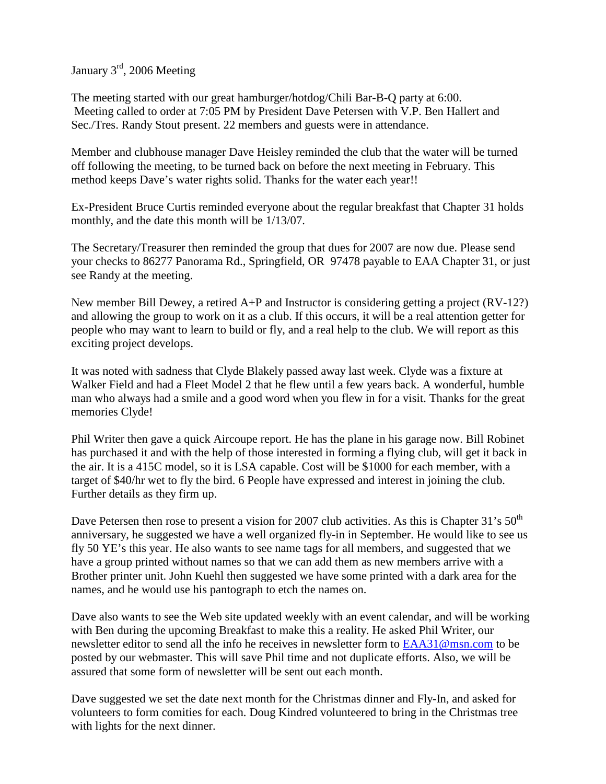January 3rd, 2006 Meeting

The meeting started with our great hamburger/hotdog/Chili Bar-B-Q party at 6:00. Meeting called to order at 7:05 PM by President Dave Petersen with V.P. Ben Hallert and Sec./Tres. Randy Stout present. 22 members and guests were in attendance.

Member and clubhouse manager Dave Heisley reminded the club that the water will be turned off following the meeting, to be turned back on before the next meeting in February. This method keeps Dave's water rights solid. Thanks for the water each year!!

Ex-President Bruce Curtis reminded everyone about the regular breakfast that Chapter 31 holds monthly, and the date this month will be 1/13/07.

The Secretary/Treasurer then reminded the group that dues for 2007 are now due. Please send your checks to 86277 Panorama Rd., Springfield, OR 97478 payable to EAA Chapter 31, or just see Randy at the meeting.

New member Bill Dewey, a retired  $A+P$  and Instructor is considering getting a project  $(RV-12)$ ? and allowing the group to work on it as a club. If this occurs, it will be a real attention getter for people who may want to learn to build or fly, and a real help to the club. We will report as this exciting project develops.

It was noted with sadness that Clyde Blakely passed away last week. Clyde was a fixture at Walker Field and had a Fleet Model 2 that he flew until a few years back. A wonderful, humble man who always had a smile and a good word when you flew in for a visit. Thanks for the great memories Clyde!

Phil Writer then gave a quick Aircoupe report. He has the plane in his garage now. Bill Robinet has purchased it and with the help of those interested in forming a flying club, will get it back in the air. It is a 415C model, so it is LSA capable. Cost will be \$1000 for each member, with a target of \$40/hr wet to fly the bird. 6 People have expressed and interest in joining the club. Further details as they firm up.

Dave Petersen then rose to present a vision for 2007 club activities. As this is Chapter 31's 50<sup>th</sup> anniversary, he suggested we have a well organized fly-in in September. He would like to see us fly 50 YE's this year. He also wants to see name tags for all members, and suggested that we have a group printed without names so that we can add them as new members arrive with a Brother printer unit. John Kuehl then suggested we have some printed with a dark area for the names, and he would use his pantograph to etch the names on.

Dave also wants to see the Web site updated weekly with an event calendar, and will be working with Ben during the upcoming Breakfast to make this a reality. He asked Phil Writer, our newsletter editor to send all the info he receives in newsletter form to EAA31@msn.com to be posted by our webmaster. This will save Phil time and not duplicate efforts. Also, we will be assured that some form of newsletter will be sent out each month.

Dave suggested we set the date next month for the Christmas dinner and Fly-In, and asked for volunteers to form comities for each. Doug Kindred volunteered to bring in the Christmas tree with lights for the next dinner.